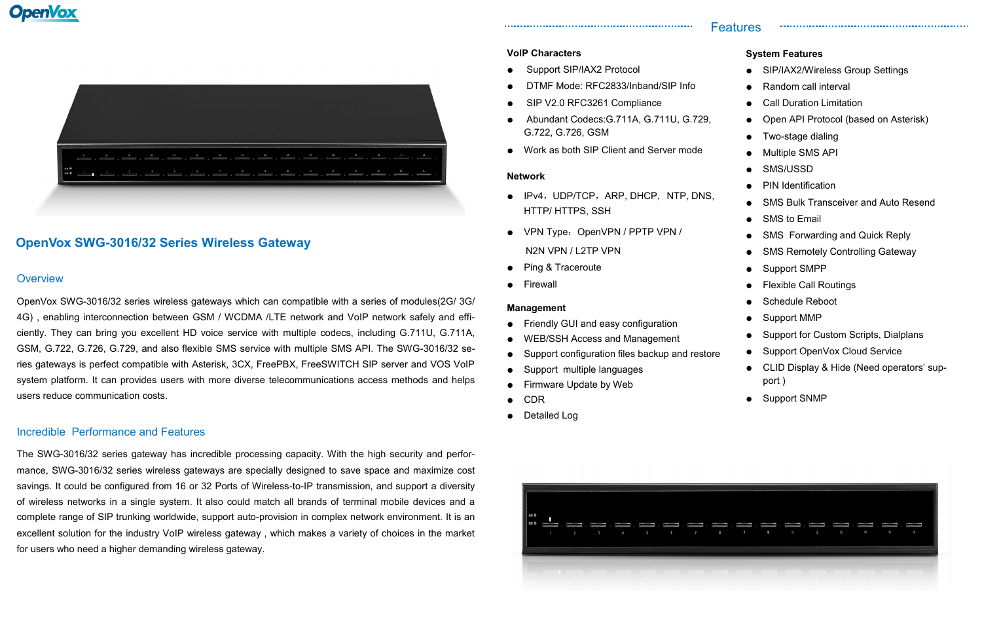# **OpenVox SWG-3016/32 Series Wireless Gateway**

#### **Overview**

### Incredible Performance and Features

The SWG-3016/32 series gateway has incredible processing capacity. With the high security and performance, SWG-3016/32 series wireless gateways are specially designed to save space and maximize cost savings. It could be configured from 16 or 32 Ports of Wireless-to-IP transmission, and support a diversity of wireless networks in a single system. It also could match all brands of terminal mobile devices and a complete range of SIP trunking worldwide, support auto-provision in complex network environment. It is an excellent solution for the industry VoIP wireless gateway , which makes a variety of choices in the market for users who need a higher demanding wireless gateway.

OpenVox SWG-3016/32 series wireless gateways which can compatible with a series of modules(2G/ 3G/ 4G) , enabling interconnection between GSM / WCDMA /LTE network and VoIP network safely and efficiently. They can bring you excellent HD voice service with multiple codecs, including G.711U, G.711A, GSM, G.722, G.726, G.729, and also flexible SMS service with multiple SMS API. The SWG-3016/32 series gateways is perfect compatible with Asterisk, 3CX, FreePBX, FreeSWITCH SIP server and VOS VoIP system platform. It can provides users with more diverse telecommunications access methods and helps users reduce communication costs.

## Features

### **System Features**

- SIP/IAX2/Wireless Group Settings
- Random call interval
- **Call Duration Limitation**
- Open API Protocol (based on Asterisk)

- Two-stage dialing
- **Multiple SMS API**
- SMS/USSD
- **PIN Identification**
- **SMS Bulk Transceiver and Auto Resend**
- SMS to Email
- SMS Forwarding and Quick Reply
- SMS Remotely Controlling Gateway
- Support SMPP
- **Flexible Call Routings**
- Schedule Reboot
- Support MMP
- Support for Custom Scripts, Dialplans
- Support OpenVox Cloud Service
- CLID Display & Hide (Need operators' support )
- Support SNMP



#### **VoIP Characters**

- Support SIP/IAX2 Protocol
- DTMF Mode: RFC2833/Inband/SIP Info
- SIP V2.0 RFC3261 Compliance
- Abundant Codecs:G.711A, G.711U, G.729, G.722, G.726, GSM
- Work as both SIP Client and Server mode

#### **Network**

- IPv4, UDP/TCP, ARP, DHCP, NTP, DNS, HTTP/ HTTPS, SSH
- VPN Type: OpenVPN / PPTP VPN /
	- N2N VPN / L2TP VPN
- **Ping & Traceroute**
- **Firewall**

#### **Management**

- **Friendly GUI and easy configuration**
- WEB/SSH Access and Management
- Support configuration files backup and restore
- Support multiple languages
- Firmware Update by Web
- **CDR**
- Detailed Log

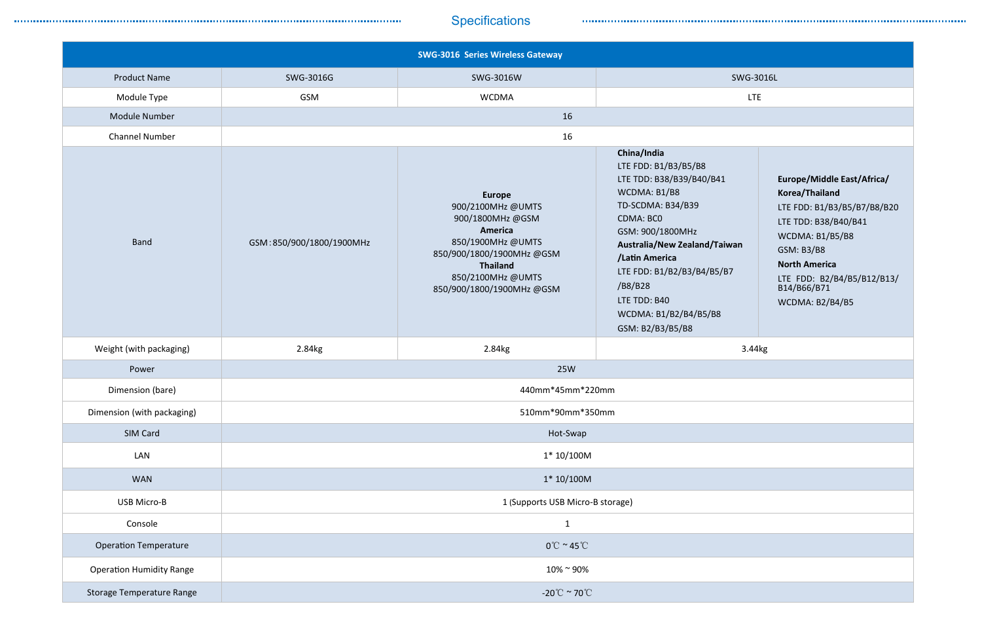# **Specifications**

|                                  |                                  | <b>SWG-3016 Series Wireless Gateway</b>                                                                                                                                                 |                                                                                                                                                                                                                                                                                                      |                                                                                                                                                                                                                              |  |
|----------------------------------|----------------------------------|-----------------------------------------------------------------------------------------------------------------------------------------------------------------------------------------|------------------------------------------------------------------------------------------------------------------------------------------------------------------------------------------------------------------------------------------------------------------------------------------------------|------------------------------------------------------------------------------------------------------------------------------------------------------------------------------------------------------------------------------|--|
| <b>Product Name</b>              | SWG-3016G                        | SWG-3016W                                                                                                                                                                               | <b>SWG-3016L</b>                                                                                                                                                                                                                                                                                     |                                                                                                                                                                                                                              |  |
| Module Type                      | GSM                              | <b>WCDMA</b>                                                                                                                                                                            | <b>LTE</b>                                                                                                                                                                                                                                                                                           |                                                                                                                                                                                                                              |  |
| Module Number                    | 16                               |                                                                                                                                                                                         |                                                                                                                                                                                                                                                                                                      |                                                                                                                                                                                                                              |  |
| <b>Channel Number</b>            | 16                               |                                                                                                                                                                                         |                                                                                                                                                                                                                                                                                                      |                                                                                                                                                                                                                              |  |
| <b>Band</b>                      | GSM:850/900/1800/1900MHz         | <b>Europe</b><br>900/2100MHz @UMTS<br>900/1800MHz @GSM<br>America<br>850/1900MHz @UMTS<br>850/900/1800/1900MHz@GSM<br><b>Thailand</b><br>850/2100MHz @UMTS<br>850/900/1800/1900MHz @GSM | China/India<br>LTE FDD: B1/B3/B5/B8<br>LTE TDD: B38/B39/B40/B41<br>WCDMA: B1/B8<br>TD-SCDMA: B34/B39<br><b>CDMA: BCO</b><br>GSM: 900/1800MHz<br>Australia/New Zealand/Taiwan<br>/Latin America<br>LTE FDD: B1/B2/B3/B4/B5/B7<br>/B8/B28<br>LTE TDD: B40<br>WCDMA: B1/B2/B4/B5/B8<br>GSM: B2/B3/B5/B8 | Europe/Middle East/Africa/<br>Korea/Thailand<br>LTE FDD: B1/B3/B5/B7/B8/B20<br>LTE TDD: B38/B40/B41<br>WCDMA: B1/B5/B8<br>GSM: B3/B8<br><b>North America</b><br>LTE FDD: B2/B4/B5/B12/B13/<br>B14/B66/B71<br>WCDMA: B2/B4/B5 |  |
| Weight (with packaging)          | 2.84kg                           | 2.84kg                                                                                                                                                                                  | 3.44kg                                                                                                                                                                                                                                                                                               |                                                                                                                                                                                                                              |  |
| Power                            | <b>25W</b>                       |                                                                                                                                                                                         |                                                                                                                                                                                                                                                                                                      |                                                                                                                                                                                                                              |  |
| Dimension (bare)                 | 440mm*45mm*220mm                 |                                                                                                                                                                                         |                                                                                                                                                                                                                                                                                                      |                                                                                                                                                                                                                              |  |
| Dimension (with packaging)       | 510mm*90mm*350mm                 |                                                                                                                                                                                         |                                                                                                                                                                                                                                                                                                      |                                                                                                                                                                                                                              |  |
| SIM Card                         | Hot-Swap                         |                                                                                                                                                                                         |                                                                                                                                                                                                                                                                                                      |                                                                                                                                                                                                                              |  |
| LAN                              | $1*10/100M$                      |                                                                                                                                                                                         |                                                                                                                                                                                                                                                                                                      |                                                                                                                                                                                                                              |  |
| <b>WAN</b>                       | $1*10/100M$                      |                                                                                                                                                                                         |                                                                                                                                                                                                                                                                                                      |                                                                                                                                                                                                                              |  |
| USB Micro-B                      | 1 (Supports USB Micro-B storage) |                                                                                                                                                                                         |                                                                                                                                                                                                                                                                                                      |                                                                                                                                                                                                                              |  |
| Console                          | $\mathbf{1}$                     |                                                                                                                                                                                         |                                                                                                                                                                                                                                                                                                      |                                                                                                                                                                                                                              |  |
| <b>Operation Temperature</b>     | $0^{\circ}$ C ~ 45 $^{\circ}$ C  |                                                                                                                                                                                         |                                                                                                                                                                                                                                                                                                      |                                                                                                                                                                                                                              |  |
| <b>Operation Humidity Range</b>  | $10\%$ ~ 90%                     |                                                                                                                                                                                         |                                                                                                                                                                                                                                                                                                      |                                                                                                                                                                                                                              |  |
| <b>Storage Temperature Range</b> | -20 $\degree$ C ~ 70 $\degree$ C |                                                                                                                                                                                         |                                                                                                                                                                                                                                                                                                      |                                                                                                                                                                                                                              |  |

| SWG-3016L |  |
|-----------|--|
|-----------|--|